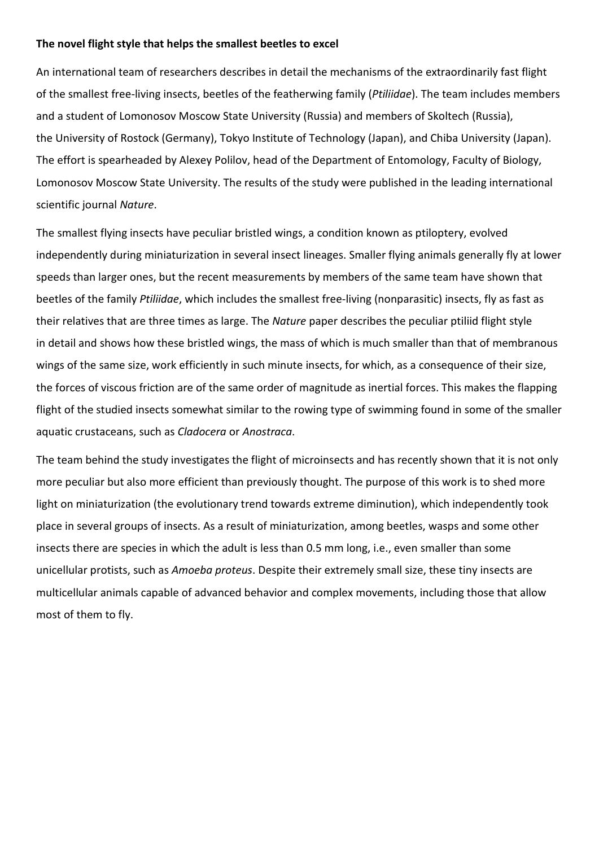## **The novel flight style that helps the smallest beetles to excel**

An international team of researchers describes in detail the mechanisms of the extraordinarily fast flight of the smallest free-living insects, beetles of the featherwing family (*Ptiliidae*). The team includes members and a student of Lomonosov Moscow State University (Russia) and members of Skoltech (Russia), the University of Rostock (Germany), Tokyo Institute of Technology (Japan), and Chiba University (Japan). The effort is spearheaded by Alexey Polilov, head of the Department of Entomology, Faculty of Biology, Lomonosov Moscow State University. The results of the study were published in the leading international scientific journal *Nature*.

The smallest flying insects have peculiar bristled wings, a condition known as ptiloptery, evolved independently during miniaturization in several insect lineages. Smaller flying animals generally fly at lower speeds than larger ones, but the recent measurements by members of the same team have shown that beetles of the family *Ptiliidae*, which includes the smallest free-living (nonparasitic) insects, fly as fast as their relatives that are three times as large. The *Nature* paper describes the peculiar ptiliid flight style in detail and shows how these bristled wings, the mass of which is much smaller than that of membranous wings of the same size, work efficiently in such minute insects, for which, as a consequence of their size, the forces of viscous friction are of the same order of magnitude as inertial forces. This makes the flapping flight of the studied insects somewhat similar to the rowing type of swimming found in some of the smaller aquatic crustaceans, such as *Cladocera* or *Anostraca*.

The team behind the study investigates the flight of microinsects and has recently shown that it is not only more peculiar but also more efficient than previously thought. The purpose of this work is to shed more light on miniaturization (the evolutionary trend towards extreme diminution), which independently took place in several groups of insects. As a result of miniaturization, among beetles, wasps and some other insects there are species in which the adult is less than 0.5 mm long, i.e., even smaller than some unicellular protists, such as *Amoeba proteus*. Despite their extremely small size, these tiny insects are multicellular animals capable of advanced behavior and complex movements, including those that allow most of them to fly.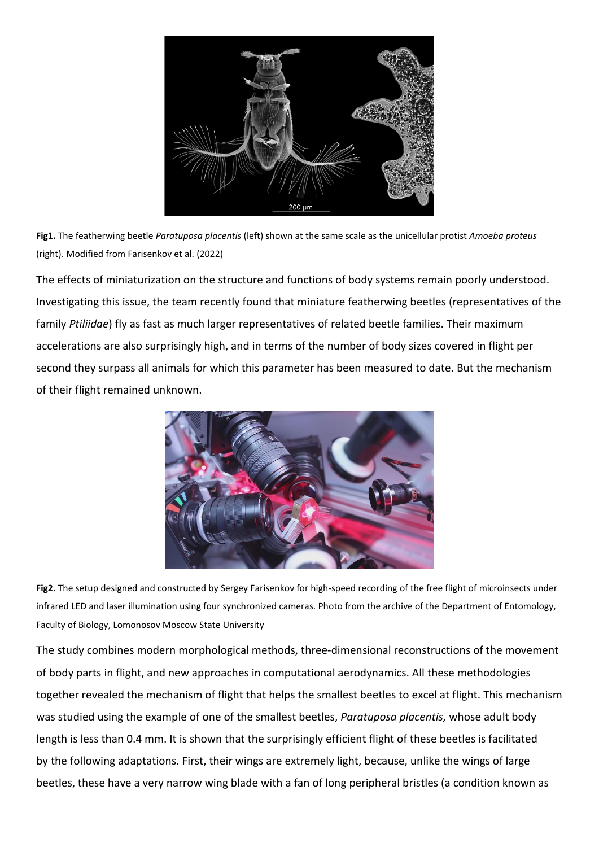

**Fig1.** The featherwing beetle *Paratuposa placentis* (left) shown at the same scale as the unicellular protist *Amoeba proteus*  (right). Modified from Farisenkov et al. (2022)

The effects of miniaturization on the structure and functions of body systems remain poorly understood. Investigating this issue, the team recently found that miniature featherwing beetles (representatives of the family *Ptiliidae*) fly as fast as much larger representatives of related beetle families. Their maximum accelerations are also surprisingly high, and in terms of the number of body sizes covered in flight per second they surpass all animals for which this parameter has been measured to date. But the mechanism of their flight remained unknown.



**Fig2.** The setup designed and constructed by Sergey Farisenkov for high-speed recording of the free flight of microinsects under infrared LED and laser illumination using four synchronized cameras. Photo from the archive of the Department of Entomology, Faculty of Biology, Lomonosov Moscow State University

The study combines modern morphological methods, three-dimensional reconstructions of the movement of body parts in flight, and new approaches in computational aerodynamics. All these methodologies together revealed the mechanism of flight that helps the smallest beetles to excel at flight. This mechanism was studied using the example of one of the smallest beetles, *Paratuposa placentis,* whose adult body length is less than 0.4 mm. It is shown that the surprisingly efficient flight of these beetles is facilitated by the following adaptations. First, their wings are extremely light, because, unlike the wings of large beetles, these have a very narrow wing blade with a fan of long peripheral bristles (a condition known as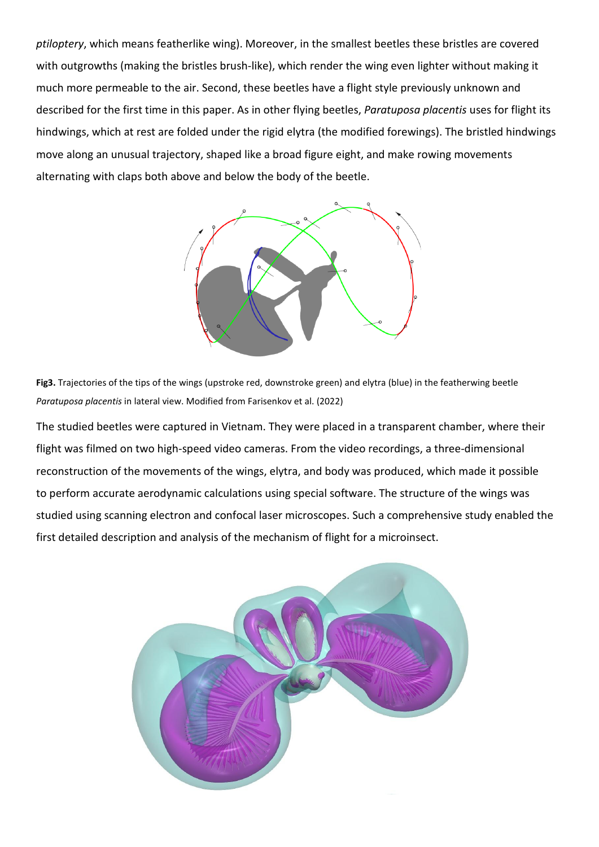*ptiloptery*, which means featherlike wing). Moreover, in the smallest beetles these bristles are covered with outgrowths (making the bristles brush-like), which render the wing even lighter without making it much more permeable to the air. Second, these beetles have a flight style previously unknown and described for the first time in this paper. As in other flying beetles, *Paratuposa placentis* uses for flight its hindwings, which at rest are folded under the rigid elytra (the modified forewings). The bristled hindwings move along an unusual trajectory, shaped like a broad figure eight, and make rowing movements alternating with claps both above and below the body of the beetle.



**Fig3.** Trajectories of the tips of the wings (upstroke red, downstroke green) and elytra (blue) in the featherwing beetle *Paratuposa placentis* in lateral view. Modified from Farisenkov et al. (2022)

The studied beetles were captured in Vietnam. They were placed in a transparent chamber, where their flight was filmed on two high-speed video cameras. From the video recordings, a three-dimensional reconstruction of the movements of the wings, elytra, and body was produced, which made it possible to perform accurate aerodynamic calculations using special software. The structure of the wings was studied using scanning electron and confocal laser microscopes. Such a comprehensive study enabled the first detailed description and analysis of the mechanism of flight for a microinsect.

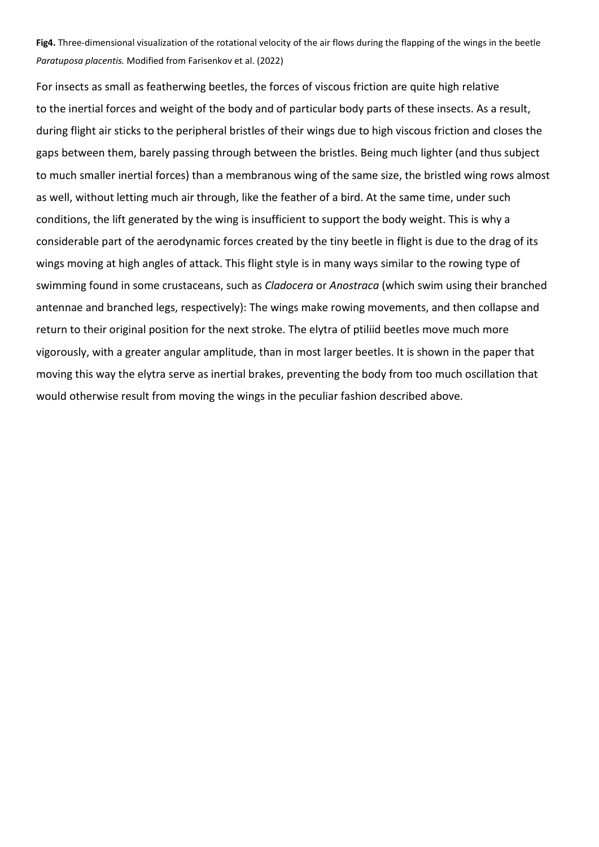**Fig4.** Three-dimensional visualization of the rotational velocity of the air flows during the flapping of the wings in the beetle *Paratuposa placentis.* Modified from Farisenkov et al. (2022)

For insects as small as featherwing beetles, the forces of viscous friction are quite high relative to the inertial forces and weight of the body and of particular body parts of these insects. As a result, during flight air sticks to the peripheral bristles of their wings due to high viscous friction and closes the gaps between them, barely passing through between the bristles. Being much lighter (and thus subject to much smaller inertial forces) than a membranous wing of the same size, the bristled wing rows almost as well, without letting much air through, like the feather of a bird. At the same time, under such conditions, the lift generated by the wing is insufficient to support the body weight. This is why a considerable part of the aerodynamic forces created by the tiny beetle in flight is due to the drag of its wings moving at high angles of attack. This flight style is in many ways similar to the rowing type of swimming found in some crustaceans, such as *Cladocera* or *Anostraca* (which swim using their branched antennae and branched legs, respectively): The wings make rowing movements, and then collapse and return to their original position for the next stroke. The elytra of ptiliid beetles move much more vigorously, with a greater angular amplitude, than in most larger beetles. It is shown in the paper that moving this way the elytra serve as inertial brakes, preventing the body from too much oscillation that would otherwise result from moving the wings in the peculiar fashion described above.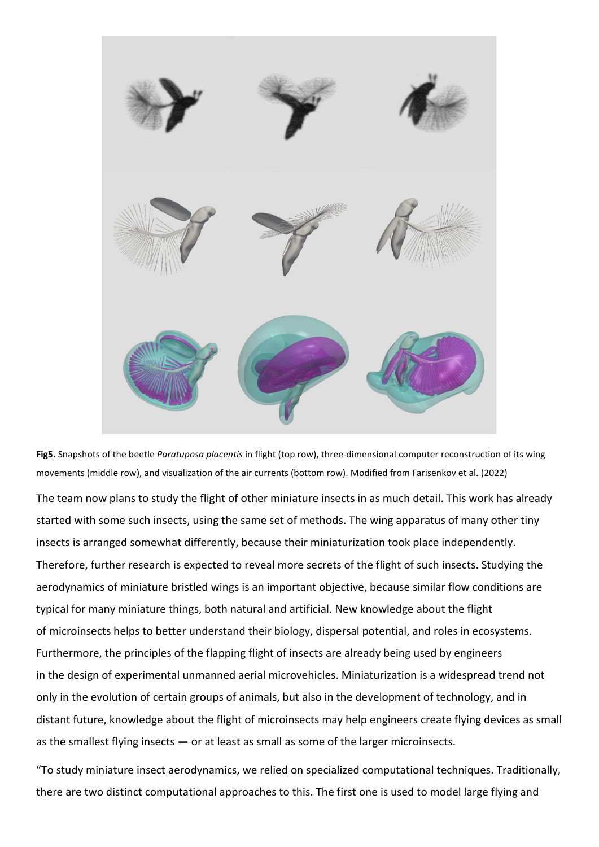



The team now plans to study the flight of other miniature insects in as much detail. This work has already started with some such insects, using the same set of methods. The wing apparatus of many other tiny insects is arranged somewhat differently, because their miniaturization took place independently. Therefore, further research is expected to reveal more secrets of the flight of such insects. Studying the aerodynamics of miniature bristled wings is an important objective, because similar flow conditions are typical for many miniature things, both natural and artificial. New knowledge about the flight of microinsects helps to better understand their biology, dispersal potential, and roles in ecosystems. Furthermore, the principles of the flapping flight of insects are already being used by engineers in the design of experimental unmanned aerial microvehicles. Miniaturization is a widespread trend not only in the evolution of certain groups of animals, but also in the development of technology, and in distant future, knowledge about the flight of microinsects may help engineers create flying devices as small as the smallest flying insects — or at least as small as some of the larger microinsects.

"To study miniature insect aerodynamics, we relied on specialized computational techniques. Traditionally, there are two distinct computational approaches to this. The first one is used to model large flying and